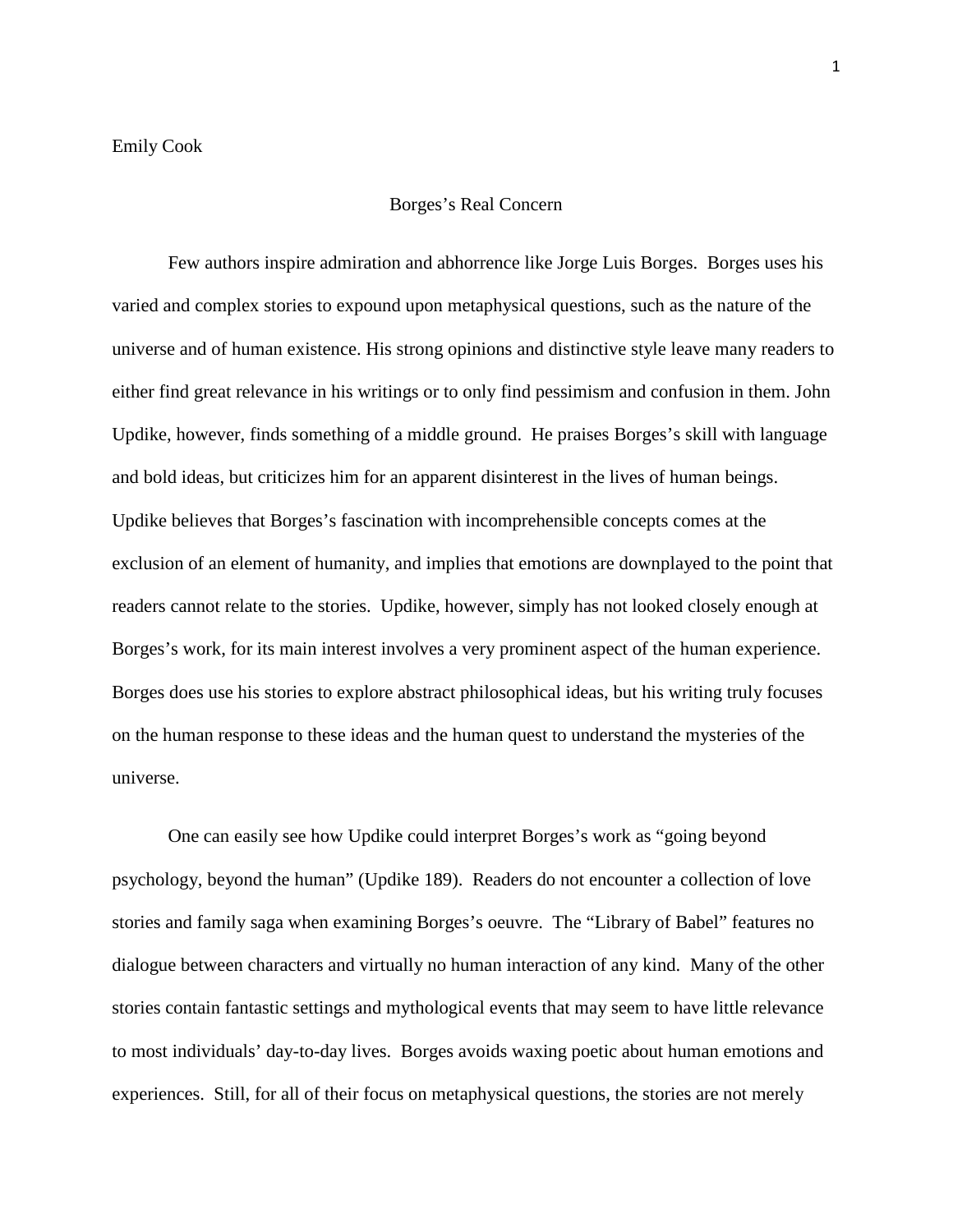## Borges's Real Concern

Few authors inspire admiration and abhorrence like Jorge Luis Borges. Borges uses his varied and complex stories to expound upon metaphysical questions, such as the nature of the universe and of human existence. His strong opinions and distinctive style leave many readers to either find great relevance in his writings or to only find pessimism and confusion in them. John Updike, however, finds something of a middle ground. He praises Borges's skill with language and bold ideas, but criticizes him for an apparent disinterest in the lives of human beings. Updike believes that Borges's fascination with incomprehensible concepts comes at the exclusion of an element of humanity, and implies that emotions are downplayed to the point that readers cannot relate to the stories. Updike, however, simply has not looked closely enough at Borges's work, for its main interest involves a very prominent aspect of the human experience. Borges does use his stories to explore abstract philosophical ideas, but his writing truly focuses on the human response to these ideas and the human quest to understand the mysteries of the universe.

One can easily see how Updike could interpret Borges's work as "going beyond psychology, beyond the human" (Updike 189). Readers do not encounter a collection of love stories and family saga when examining Borges's oeuvre. The "Library of Babel" features no dialogue between characters and virtually no human interaction of any kind. Many of the other stories contain fantastic settings and mythological events that may seem to have little relevance to most individuals' day-to-day lives. Borges avoids waxing poetic about human emotions and experiences. Still, for all of their focus on metaphysical questions, the stories are not merely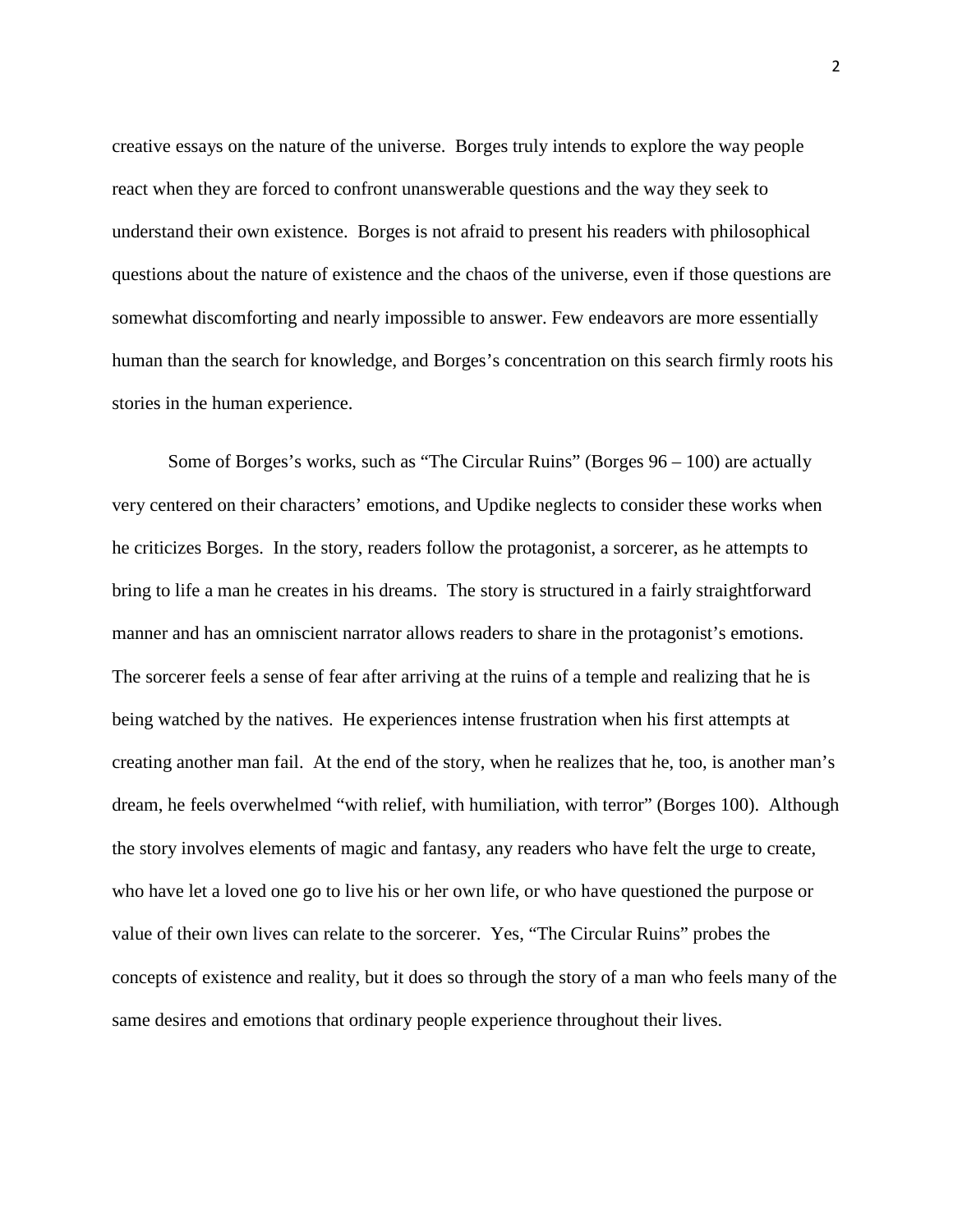creative essays on the nature of the universe. Borges truly intends to explore the way people react when they are forced to confront unanswerable questions and the way they seek to understand their own existence. Borges is not afraid to present his readers with philosophical questions about the nature of existence and the chaos of the universe, even if those questions are somewhat discomforting and nearly impossible to answer. Few endeavors are more essentially human than the search for knowledge, and Borges's concentration on this search firmly roots his stories in the human experience.

Some of Borges's works, such as "The Circular Ruins" (Borges 96 – 100) are actually very centered on their characters' emotions, and Updike neglects to consider these works when he criticizes Borges. In the story, readers follow the protagonist, a sorcerer, as he attempts to bring to life a man he creates in his dreams. The story is structured in a fairly straightforward manner and has an omniscient narrator allows readers to share in the protagonist's emotions. The sorcerer feels a sense of fear after arriving at the ruins of a temple and realizing that he is being watched by the natives. He experiences intense frustration when his first attempts at creating another man fail. At the end of the story, when he realizes that he, too, is another man's dream, he feels overwhelmed "with relief, with humiliation, with terror" (Borges 100). Although the story involves elements of magic and fantasy, any readers who have felt the urge to create, who have let a loved one go to live his or her own life, or who have questioned the purpose or value of their own lives can relate to the sorcerer. Yes, "The Circular Ruins" probes the concepts of existence and reality, but it does so through the story of a man who feels many of the same desires and emotions that ordinary people experience throughout their lives.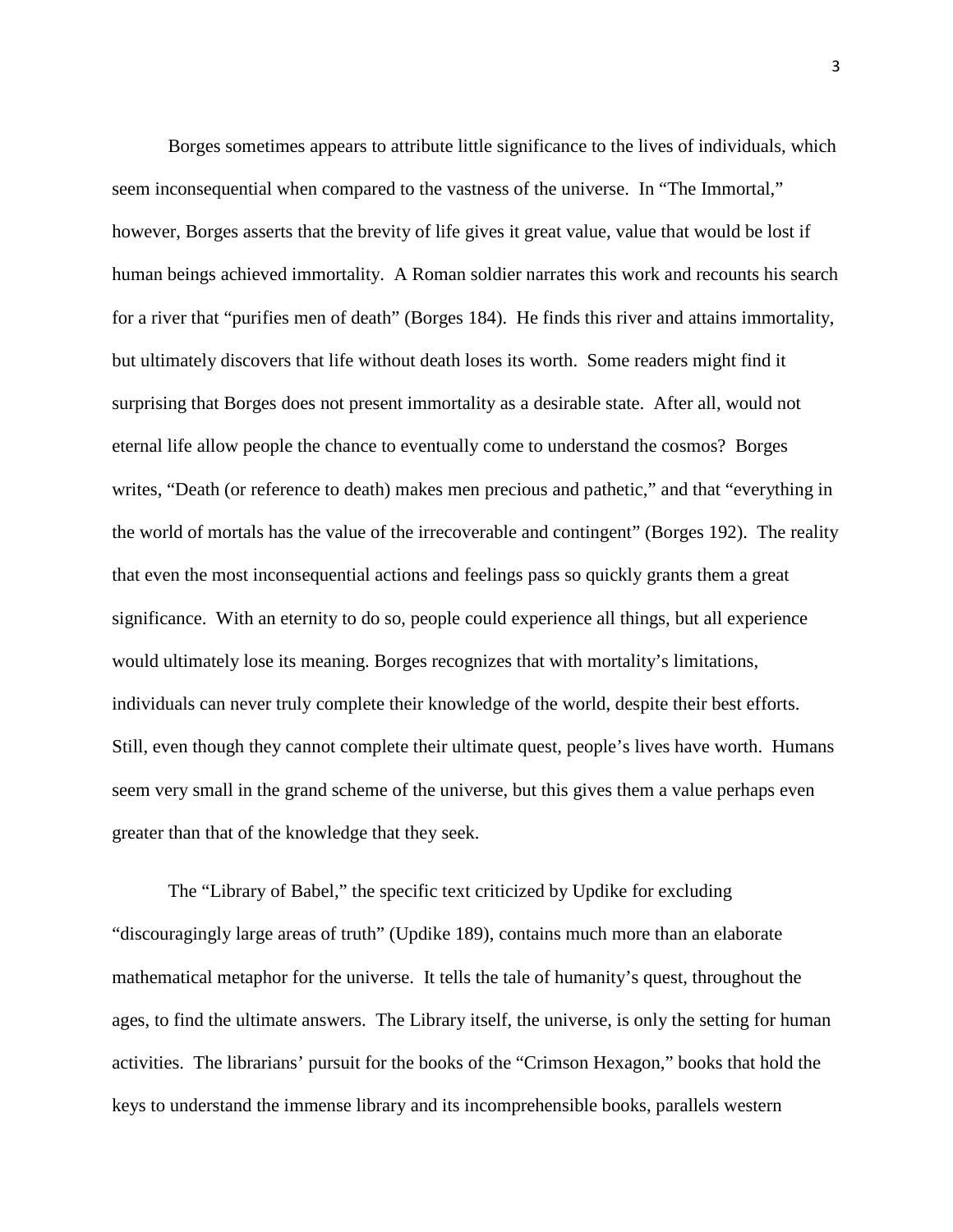Borges sometimes appears to attribute little significance to the lives of individuals, which seem inconsequential when compared to the vastness of the universe. In "The Immortal," however, Borges asserts that the brevity of life gives it great value, value that would be lost if human beings achieved immortality. A Roman soldier narrates this work and recounts his search for a river that "purifies men of death" (Borges 184). He finds this river and attains immortality, but ultimately discovers that life without death loses its worth. Some readers might find it surprising that Borges does not present immortality as a desirable state. After all, would not eternal life allow people the chance to eventually come to understand the cosmos? Borges writes, "Death (or reference to death) makes men precious and pathetic," and that "everything in the world of mortals has the value of the irrecoverable and contingent" (Borges 192). The reality that even the most inconsequential actions and feelings pass so quickly grants them a great significance. With an eternity to do so, people could experience all things, but all experience would ultimately lose its meaning. Borges recognizes that with mortality's limitations, individuals can never truly complete their knowledge of the world, despite their best efforts. Still, even though they cannot complete their ultimate quest, people's lives have worth. Humans seem very small in the grand scheme of the universe, but this gives them a value perhaps even greater than that of the knowledge that they seek.

The "Library of Babel," the specific text criticized by Updike for excluding "discouragingly large areas of truth" (Updike 189), contains much more than an elaborate mathematical metaphor for the universe. It tells the tale of humanity's quest, throughout the ages, to find the ultimate answers. The Library itself, the universe, is only the setting for human activities. The librarians' pursuit for the books of the "Crimson Hexagon," books that hold the keys to understand the immense library and its incomprehensible books, parallels western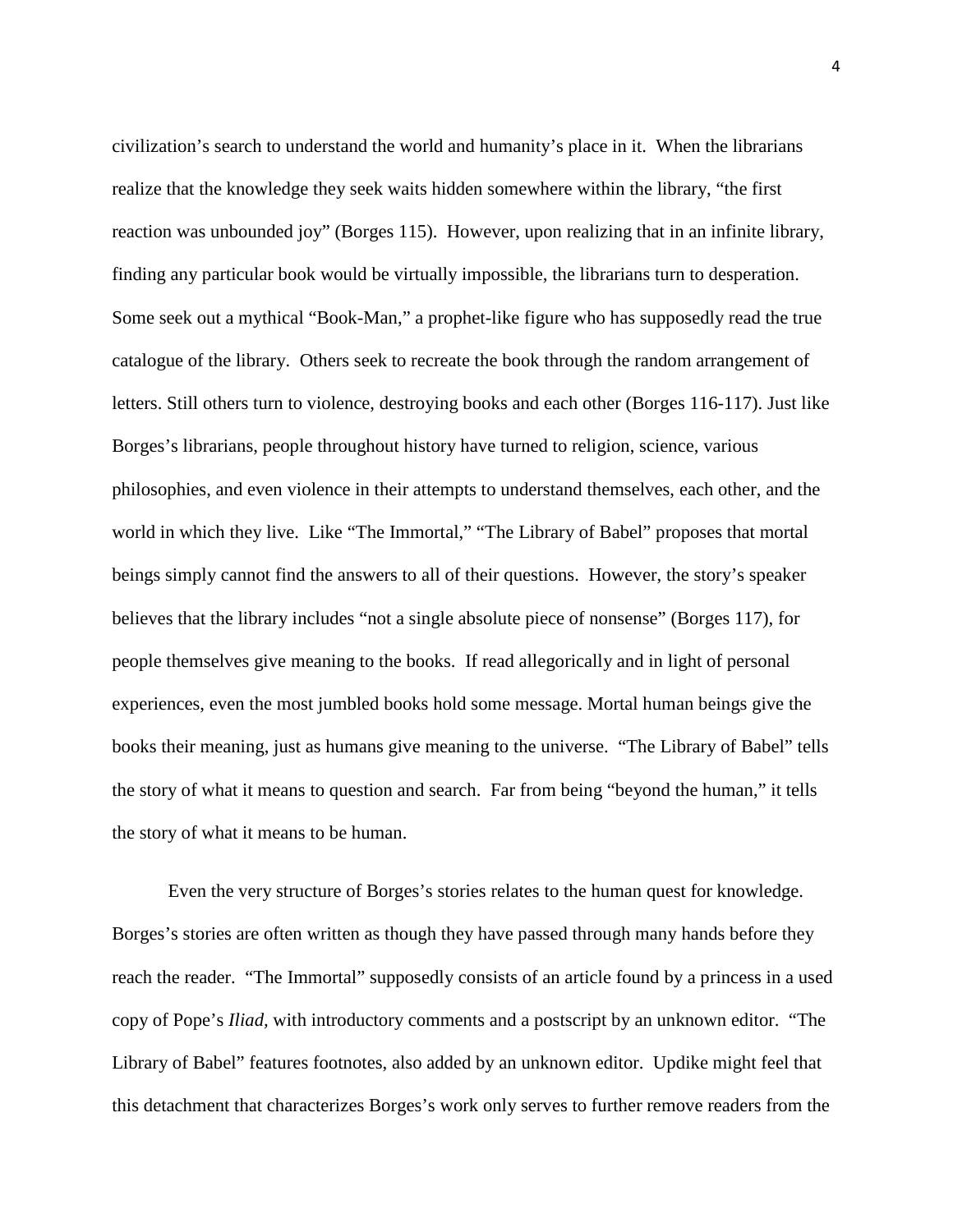civilization's search to understand the world and humanity's place in it. When the librarians realize that the knowledge they seek waits hidden somewhere within the library, "the first reaction was unbounded joy" (Borges 115). However, upon realizing that in an infinite library, finding any particular book would be virtually impossible, the librarians turn to desperation. Some seek out a mythical "Book-Man," a prophet-like figure who has supposedly read the true catalogue of the library. Others seek to recreate the book through the random arrangement of letters. Still others turn to violence, destroying books and each other (Borges 116-117). Just like Borges's librarians, people throughout history have turned to religion, science, various philosophies, and even violence in their attempts to understand themselves, each other, and the world in which they live. Like "The Immortal," "The Library of Babel" proposes that mortal beings simply cannot find the answers to all of their questions. However, the story's speaker believes that the library includes "not a single absolute piece of nonsense" (Borges 117), for people themselves give meaning to the books. If read allegorically and in light of personal experiences, even the most jumbled books hold some message. Mortal human beings give the books their meaning, just as humans give meaning to the universe. "The Library of Babel" tells the story of what it means to question and search. Far from being "beyond the human," it tells the story of what it means to be human.

Even the very structure of Borges's stories relates to the human quest for knowledge. Borges's stories are often written as though they have passed through many hands before they reach the reader. "The Immortal" supposedly consists of an article found by a princess in a used copy of Pope's *Iliad,* with introductory comments and a postscript by an unknown editor. "The Library of Babel" features footnotes, also added by an unknown editor. Updike might feel that this detachment that characterizes Borges's work only serves to further remove readers from the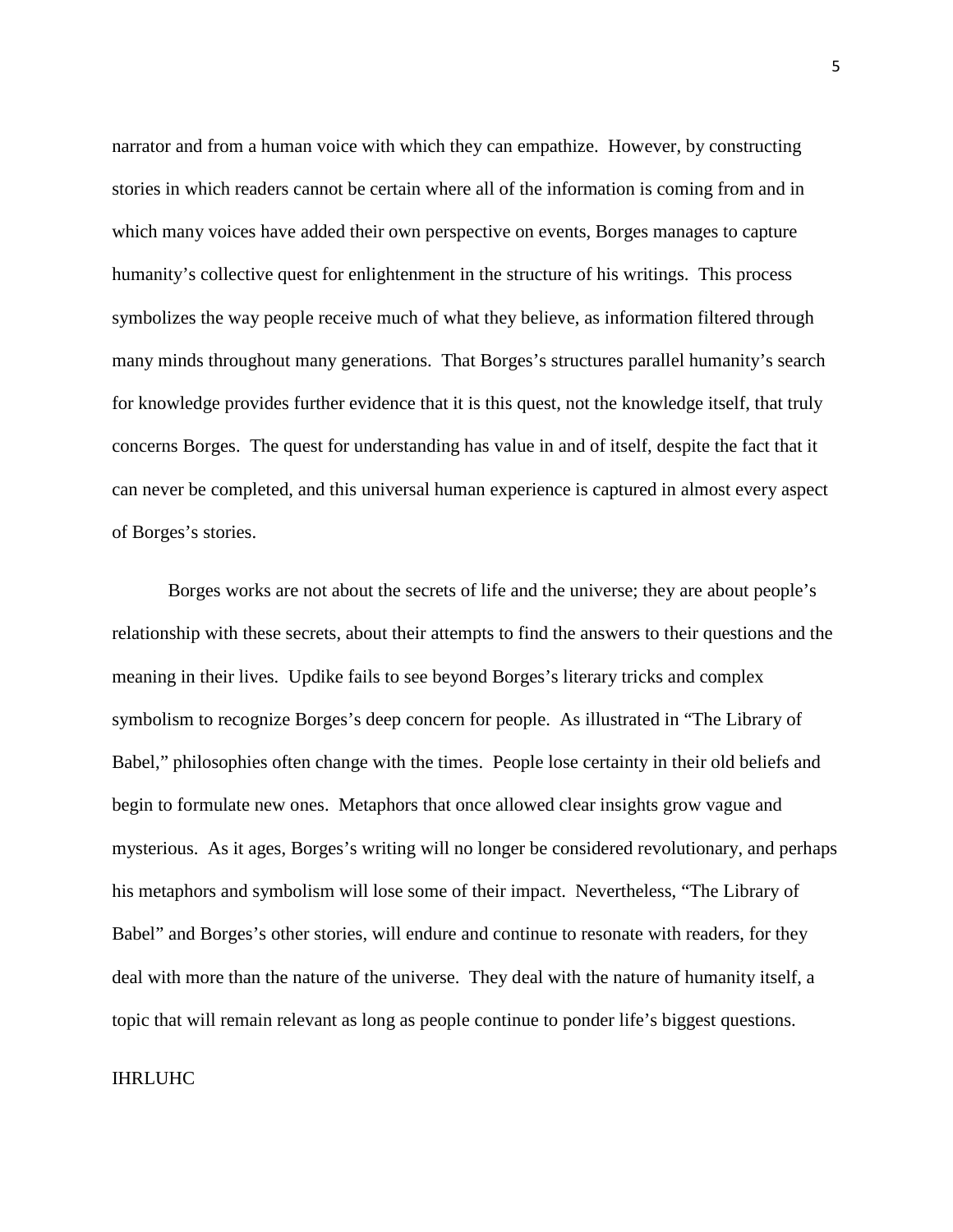narrator and from a human voice with which they can empathize. However, by constructing stories in which readers cannot be certain where all of the information is coming from and in which many voices have added their own perspective on events, Borges manages to capture humanity's collective quest for enlightenment in the structure of his writings. This process symbolizes the way people receive much of what they believe, as information filtered through many minds throughout many generations. That Borges's structures parallel humanity's search for knowledge provides further evidence that it is this quest, not the knowledge itself, that truly concerns Borges. The quest for understanding has value in and of itself, despite the fact that it can never be completed, and this universal human experience is captured in almost every aspect of Borges's stories.

 Borges works are not about the secrets of life and the universe; they are about people's relationship with these secrets, about their attempts to find the answers to their questions and the meaning in their lives. Updike fails to see beyond Borges's literary tricks and complex symbolism to recognize Borges's deep concern for people. As illustrated in "The Library of Babel," philosophies often change with the times. People lose certainty in their old beliefs and begin to formulate new ones. Metaphors that once allowed clear insights grow vague and mysterious. As it ages, Borges's writing will no longer be considered revolutionary, and perhaps his metaphors and symbolism will lose some of their impact. Nevertheless, "The Library of Babel" and Borges's other stories, will endure and continue to resonate with readers, for they deal with more than the nature of the universe. They deal with the nature of humanity itself, a topic that will remain relevant as long as people continue to ponder life's biggest questions.

## IHRLUHC